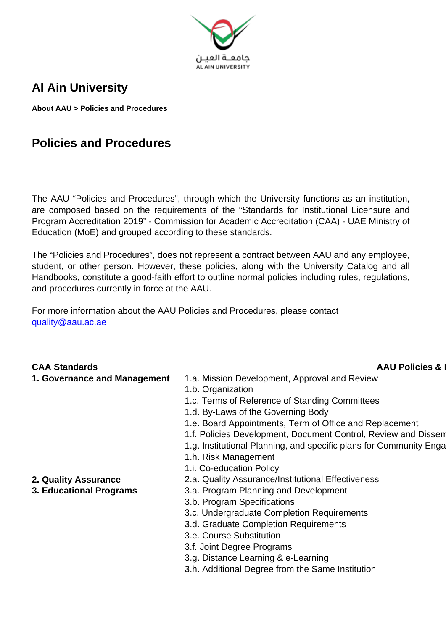

## **Al Ain University**

**About AAU > Policies and Procedures**

## **Policies and Procedures**

The AAU "Policies and Procedures", through which the University functions as an institution, are composed based on the requirements of the "Standards for Institutional Licensure and Program Accreditation 2019" - Commission for Academic Accreditation (CAA) - UAE Ministry of Education (MoE) and grouped according to these standards.

The "Policies and Procedures", does not represent a contract between AAU and any employee, student, or other person. However, these policies, along with the University Catalog and all Handbooks, constitute a good-faith effort to outline normal policies including rules, regulations, and procedures currently in force at the AAU.

For more information about the AAU Policies and Procedures, please contact [quality@aau.ac.ae](mailto:quality@aau.ac.ae)

## **CAA Standards CAA Standards AAU Policies & 1. Governance and Management** 1.a. Mission Development, Approval and Review 1.b. Organization 1.c. Terms of Reference of Standing Committees 1.d. By-Laws of the Governing Body 1.e. Board Appointments, Term of Office and Replacement 1.f. Policies Development, Document Control, Review and Dissen 1.g. Institutional Planning, and specific plans for Community Enga 1.h. Risk Management 1.i. Co-education Policy **2. Quality Assurance** 2.a. Quality Assurance/Institutional Effectiveness **3. Educational Programs** 3.a. Program Planning and Development 3.b. Program Specifications 3.c. Undergraduate Completion Requirements 3.d. Graduate Completion Requirements 3.e. Course Substitution 3.f. Joint Degree Programs

- 3.g. Distance Learning & e-Learning
- 3.h. Additional Degree from the Same Institution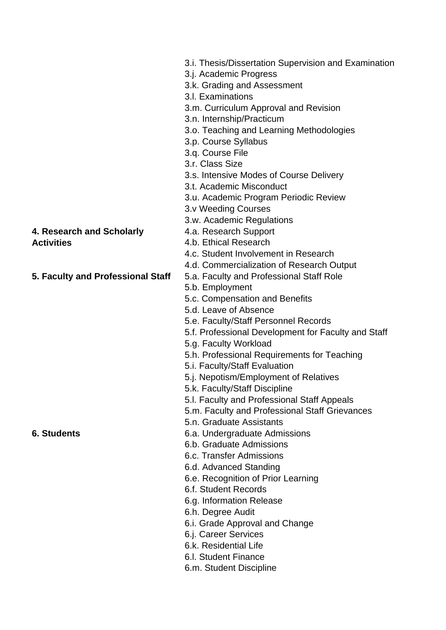## **4. Research and Scholarly Activities**

- 3.i. Thesis/Dissertation Supervision and Examination
- 3.j. Academic Progress
- 3.k. Grading and Assessment
- 3.l. Examinations
- 3.m. Curriculum Approval and Revision
- 3.n. Internship/Practicum
- 3.o. Teaching and Learning Methodologies
- 3.p. Course Syllabus
- 3.q. Course File
- 3.r. Class Size
- 3.s. Intensive Modes of Course Delivery
- 3.t. Academic Misconduct
- 3.u. Academic Program Periodic Review
- 3.v Weeding Courses
- 3.w. Academic Regulations
- 4.a. Research Support
- 4.b. Ethical Research
- 4.c. Student Involvement in Research
- 4.d. Commercialization of Research Output
- **5. Faculty and Professional Staff** 5.a. Faculty and Professional Staff Role
	- 5.b. Employment
	- 5.c. Compensation and Benefits
	- 5.d. Leave of Absence
	- 5.e. Faculty/Staff Personnel Records
	- 5.f. Professional Development for Faculty and Staff
	- 5.g. Faculty Workload
	- 5.h. Professional Requirements for Teaching
	- 5.i. Faculty/Staff Evaluation
	- 5.j. Nepotism/Employment of Relatives
	- 5.k. Faculty/Staff Discipline
	- 5.l. Faculty and Professional Staff Appeals
	- 5.m. Faculty and Professional Staff Grievances
	- 5.n. Graduate Assistants
- **6. Students** 6.a. Undergraduate Admissions
	- 6.b. Graduate Admissions
	- 6.c. Transfer Admissions
	- 6.d. Advanced Standing
	- 6.e. Recognition of Prior Learning
	- 6.f. Student Records
	- 6.g. Information Release
	- 6.h. Degree Audit
	- 6.i. Grade Approval and Change
	- 6.j. Career Services
	- 6.k. Residential Life
	- 6.l. Student Finance
	- 6.m. Student Discipline